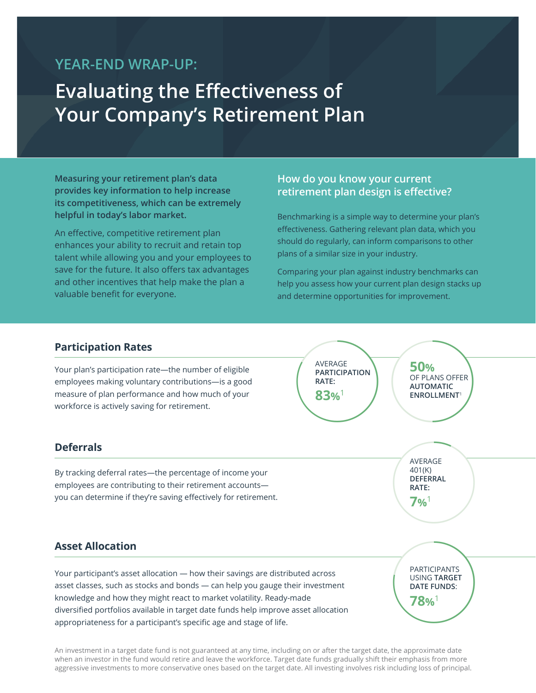## **YEAR-END WRAP-UP:**

# **Evaluating the Effectiveness of Your Company's Retirement Plan**

**Measuring your retirement plan's data provides key information to help increase its competitiveness, which can be extremely helpful in today's labor market.**

An effective, competitive retirement plan enhances your ability to recruit and retain top talent while allowing you and your employees to save for the future. It also offers tax advantages and other incentives that help make the plan a valuable benefit for everyone.

#### **How do you know your current retirement plan design is effective?**

Benchmarking is a simple way to determine your plan's effectiveness. Gathering relevant plan data, which you should do regularly, can inform comparisons to other plans of a similar size in your industry.

Comparing your plan against industry benchmarks can help you assess how your current plan design stacks up and determine opportunities for improvement.

AVERAGE<br>
PARTICIPATION<br>
RATE:<br>
83%<sup>1</sup><br>
SO<sup>1</sup><br>
ENROLLMENT'

AVERAGE **PARTICIPATION** 

**RATE: 83%**<sup>1</sup>

#### **Participation Rates**

Your plan's participation rate—the number of eligible employees making voluntary contributions—is a good measure of plan performance and how much of your workforce is actively saving for retirement.

#### **Deferrals**

By tracking deferral rates—the percentage of income your employees are contributing to their retirement accounts you can determine if they're saving effectively for retirement.

#### **Asset Allocation**

Your participant's asset allocation — how their savings are distributed across asset classes, such as stocks and bonds — can help you gauge their investment knowledge and how they might react to market volatility. Ready-made diversified portfolios available in target date funds help improve asset allocation appropriateness for a participant's specific age and stage of life.

An investment in a target date fund is not guaranteed at any time, including on or after the target date, the approximate date when an investor in the fund would retire and leave the workforce. Target date funds gradually shift their emphasis from more aggressive investments to more conservative ones based on the target date. All investing involves risk including loss of principal.

AVERAGE<br>401(K)<br>DEFERRAL<br>RATE:<br>796<sup>1</sup> AVERAGE 401(K) **DEFERRAL RATE: 7%**<sup>1</sup>

**50%**

OF PLANS OFFER **AUTOMATIC ENROLLMENT**<sup>1</sup>